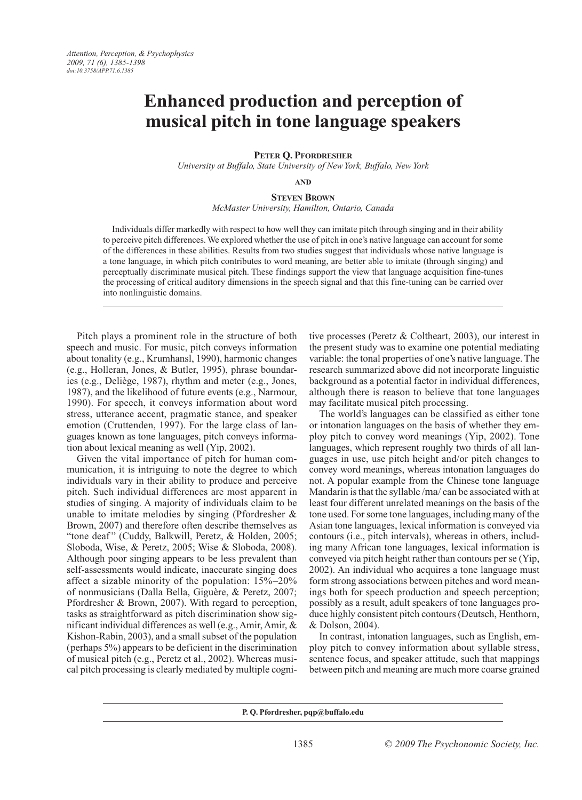# **Enhanced production and perception of musical pitch in tone language speakers**

**Peter Q. Pfordresher**

*University at Buffalo, State University of New York, Buffalo, NewYork*

**and**

# **Steven Brown**

*McMaster University, Hamilton, Ontario, Canada*

Individuals differ markedly with respect to how well they can imitate pitch through singing and in their ability to perceive pitch differences. We explored whether the use of pitch in one's native language can account for some of the differences in these abilities. Results from two studies suggest that individuals whose native language is a tone language, in which pitch contributes to word meaning, are better able to imitate (through singing) and perceptually discriminate musical pitch. These findings support the view that language acquisition fine-tunes the processing of critical auditory dimensions in the speech signal and that this fine-tuning can be carried over into nonlinguistic domains.

Pitch plays a prominent role in the structure of both speech and music. For music, pitch conveys information about tonality (e.g., Krumhansl, 1990), harmonic changes (e.g., Holleran, Jones, & Butler, 1995), phrase boundaries (e.g., Deliège, 1987), rhythm and meter (e.g., Jones, 1987), and the likelihood of future events (e.g., Narmour, 1990). For speech, it conveys information about word stress, utterance accent, pragmatic stance, and speaker emotion (Cruttenden, 1997). For the large class of languages known as tone languages, pitch conveys information about lexical meaning as well (Yip, 2002).

Given the vital importance of pitch for human communication, it is intriguing to note the degree to which individuals vary in their ability to produce and perceive pitch. Such individual differences are most apparent in studies of singing. A majority of individuals claim to be unable to imitate melodies by singing (Pfordresher & Brown, 2007) and therefore often describe themselves as "tone deaf" (Cuddy, Balkwill, Peretz, & Holden, 2005; Sloboda, Wise, & Peretz, 2005; Wise & Sloboda, 2008). Although poor singing appears to be less prevalent than self-assessments would indicate, inaccurate singing does affect a sizable minority of the population: 15%–20% of nonmusicians (Dalla Bella, Giguère, & Peretz, 2007; Pfordresher & Brown, 2007). With regard to perception, tasks as straightforward as pitch discrimination show significant individual differences as well (e.g., Amir, Amir, & Kishon-Rabin, 2003), and a small subset of the population (perhaps 5%) appears to be deficient in the discrimination of musical pitch (e.g., Peretz et al., 2002). Whereas musical pitch processing is clearly mediated by multiple cognitive processes (Peretz & Coltheart, 2003), our interest in the present study was to examine one potential mediating variable: the tonal properties of one's native language. The research summarized above did not incorporate linguistic background as a potential factor in individual differences, although there is reason to believe that tone languages may facilitate musical pitch processing.

The world's languages can be classified as either tone or intonation languages on the basis of whether they employ pitch to convey word meanings (Yip, 2002). Tone languages, which represent roughly two thirds of all languages in use, use pitch height and/or pitch changes to convey word meanings, whereas intonation languages do not. A popular example from the Chinese tone language Mandarin is that the syllable /ma/ can be associated with at least four different unrelated meanings on the basis of the tone used. For some tone languages, including many of the Asian tone languages, lexical information is conveyed via contours (i.e., pitch intervals), whereas in others, including many African tone languages, lexical information is conveyed via pitch height rather than contours perse (Yip, 2002). An individual who acquires a tone language must form strong associations between pitches and word meanings both for speech production and speech perception; possibly as a result, adult speakers of tone languages produce highly consistent pitch contours (Deutsch, Henthorn, & Dolson, 2004).

In contrast, intonation languages, such as English, employ pitch to convey information about syllable stress, sentence focus, and speaker attitude, such that mappings between pitch and meaning are much more coarse grained

**P. Q. Pfordresher, pqp@buffalo.edu**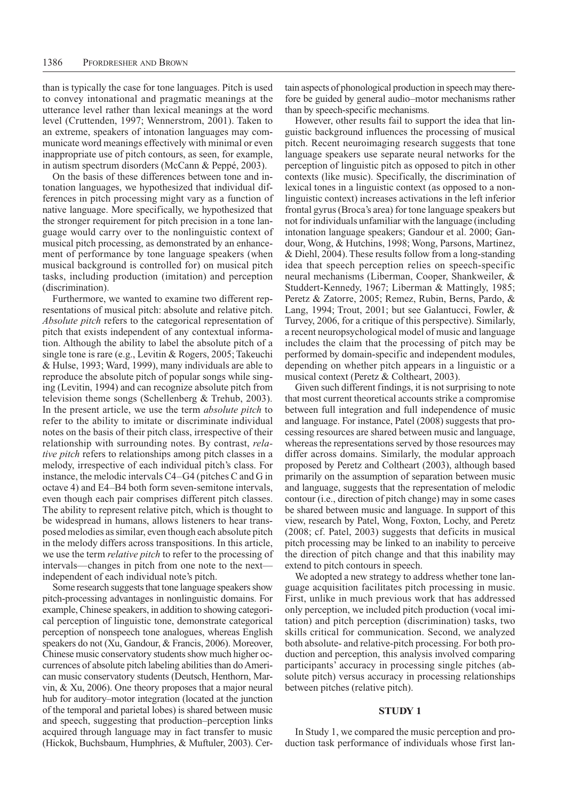than is typically the case for tone languages. Pitch is used to convey intonational and pragmatic meanings at the utterance level rather than lexical meanings at the word level (Cruttenden, 1997; Wennerstrom, 2001). Taken to an extreme, speakers of intonation languages may communicate word meanings effectively with minimal or even inappropriate use of pitch contours, as seen, for example, in autism spectrum disorders (McCann & Peppé, 2003).

On the basis of these differences between tone and intonation languages, we hypothesized that individual differences in pitch processing might vary as a function of native language. More specifically, we hypothesized that the stronger requirement for pitch precision in a tone language would carry over to the nonlinguistic context of musical pitch processing, as demonstrated by an enhancement of performance by tone language speakers (when musical background is controlled for) on musical pitch tasks, including production (imitation) and perception (discrimination).

Furthermore, we wanted to examine two different representations of musical pitch: absolute and relative pitch. *Absolute pitch* refers to the categorical representation of pitch that exists independent of any contextual information. Although the ability to label the absolute pitch of a single tone is rare (e.g., Levitin & Rogers, 2005; Takeuchi & Hulse, 1993; Ward, 1999), many individuals are able to reproduce the absolute pitch of popular songs while singing (Levitin, 1994) and can recognize absolute pitch from television theme songs (Schellenberg & Trehub, 2003). In the present article, we use the term *absolute pitch* to refer to the ability to imitate or discriminate individual notes on the basis of their pitch class, irrespective of their relationship with surrounding notes. By contrast, *relative pitch* refers to relationships among pitch classes in a melody, irrespective of each individual pitch's class. For instance, the melodic intervals C4–G4 (pitches C and G in octave 4) and E4–B4 both form seven-semitone intervals, even though each pair comprises different pitch classes. The ability to represent relative pitch, which is thought to be widespread in humans, allows listeners to hear transposed melodies as similar, even though each absolute pitch in the melody differs across transpositions. In this article, we use the term *relative pitch* to refer to the processing of intervals—changes in pitch from one note to the next independent of each individual note's pitch.

Some research suggests that tone language speakers show pitch-processing advantages in nonlinguistic domains. For example, Chinese speakers, in addition to showing categorical perception of linguistic tone, demonstrate categorical perception of nonspeech tone analogues, whereas English speakers do not (Xu, Gandour, & Francis, 2006). Moreover, Chinese music conservatory students show much higher occurrences of absolute pitch labeling abilities than do American music conservatory students (Deutsch, Henthorn, Marvin, & Xu, 2006). One theory proposes that a major neural hub for auditory–motor integration (located at the junction of the temporal and parietal lobes) is shared between music and speech, suggesting that production–perception links acquired through language may in fact transfer to music (Hickok, Buchsbaum, Humphries, & Muftuler, 2003). Certain aspects of phonological production in speech may therefore be guided by general audio–motor mechanisms rather than by speech-specific mechanisms.

However, other results fail to support the idea that linguistic background influences the processing of musical pitch. Recent neuroimaging research suggests that tone language speakers use separate neural networks for the perception of linguistic pitch as opposed to pitch in other contexts (like music). Specifically, the discrimination of lexical tones in a linguistic context (as opposed to a nonlinguistic context) increases activations in the left inferior frontal gyrus (Broca's area) for tone language speakers but not for individuals unfamiliar with the language (including intonation language speakers; Gandour et al. 2000; Gandour, Wong, & Hutchins, 1998; Wong, Parsons, Martinez, & Diehl, 2004). These results follow from a long-standing idea that speech perception relies on speech-specific neural mechanisms (Liberman, Cooper, Shankweiler, & Studdert-Kennedy, 1967; Liberman & Mattingly, 1985; Peretz & Zatorre, 2005; Remez, Rubin, Berns, Pardo, & Lang, 1994; Trout, 2001; but see Galantucci, Fowler, & Turvey, 2006, for a critique of this perspective). Similarly, a recent neuropsychological model of music and language includes the claim that the processing of pitch may be performed by domain-specific and independent modules, depending on whether pitch appears in a linguistic or a musical context (Peretz & Coltheart, 2003).

Given such different findings, it is not surprising to note that most current theoretical accounts strike a compromise between full integration and full independence of music and language. For instance, Patel (2008) suggests that processing resources are shared between music and language, whereas the representations served by those resources may differ across domains. Similarly, the modular approach proposed by Peretz and Coltheart (2003), although based primarily on the assumption of separation between music and language, suggests that the representation of melodic contour (i.e., direction of pitch change) may in some cases be shared between music and language. In support of this view, research by Patel, Wong, Foxton, Lochy, and Peretz (2008; cf. Patel, 2003) suggests that deficits in musical pitch processing may be linked to an inability to perceive the direction of pitch change and that this inability may extend to pitch contours in speech.

We adopted a new strategy to address whether tone language acquisition facilitates pitch processing in music. First, unlike in much previous work that has addressed only perception, we included pitch production (vocal imitation) and pitch perception (discrimination) tasks, two skills critical for communication. Second, we analyzed both absolute- and relative-pitch processing. For both production and perception, this analysis involved comparing participants' accuracy in processing single pitches (absolute pitch) versus accuracy in processing relationships between pitches (relative pitch).

## **STUDY 1**

In Study 1, we compared the music perception and production task performance of individuals whose first lan-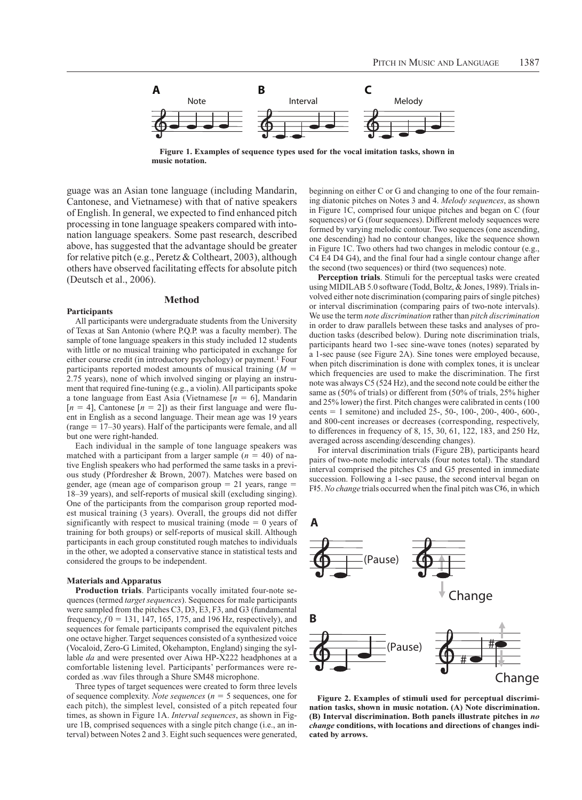

**Figure 1. Examples of sequence types used for the vocal imitation tasks, shown in music notation.**

guage was an Asian tone language (including Mandarin, Cantonese, and Vietnamese) with that of native speakers of English. In general, we expected to find enhanced pitch processing in tone language speakers compared with intonation language speakers. Some past research, described above, has suggested that the advantage should be greater for relative pitch (e.g., Peretz & Coltheart, 2003), although others have observed facilitating effects for absolute pitch (Deutsch et al., 2006).

## **Method**

All participants were undergraduate students from the University of Texas at San Antonio (where P.Q.P. was a faculty member). The sample of tone language speakers in this study included 12 students with little or no musical training who participated in exchange for either course credit (in introductory psychology) or payment.1 Four participants reported modest amounts of musical training  $(M =$ 2.75 years), none of which involved singing or playing an instrument that required fine-tuning (e.g., a violin). All participants spoke a tone language from East Asia (Vietnamese  $\overline{p} = 6$ ), Mandarin  $[n = 4]$ , Cantonese  $[n = 2]$  as their first language and were fluent in English as a second language. Their mean age was 19 years  $(range = 17–30 years)$ . Half of the participants were female, and all but one were right-handed.

Each individual in the sample of tone language speakers was matched with a participant from a larger sample  $(n = 40)$  of native English speakers who had performed the same tasks in a previous study (Pfordresher & Brown, 2007). Matches were based on gender, age (mean age of comparison group  $= 21$  years, range  $=$ 18–39 years), and self-reports of musical skill (excluding singing). One of the participants from the comparison group reported modest musical training (3 years). Overall, the groups did not differ significantly with respect to musical training (mode  $= 0$  years of training for both groups) or self-reports of musical skill. Although participants in each group constituted rough matches to individuals in the other, we adopted a conservative stance in statistical tests and considered the groups to be independent.

### **Materials and Apparatus**

**Participants**

**Production trials**. Participants vocally imitated four-note sequences (termed *target sequences*). Sequences for male participants were sampled from the pitches C3, D3, E3, F3, and G3 (fundamental frequency,  $f0 = 131, 147, 165, 175,$  and 196 Hz, respectively), and sequences for female participants comprised the equivalent pitches one octave higher. Target sequences consisted of a synthesized voice (Vocaloid, Zero-G Limited, Okehampton, England) singing the syllable *da* and were presented over Aiwa HP-X222 headphones at a comfortable listening level. Participants' performances were recorded as .wav files through a Shure SM48 microphone.

Three types of target sequences were created to form three levels of sequence complexity. *Note sequences* ( $n = 5$  sequences, one for each pitch), the simplest level, consisted of a pitch repeated four times, as shown in Figure 1A. *Interval sequences*, as shown in Figure 1B, comprised sequences with a single pitch change (i.e., an interval) between Notes 2 and 3. Eight such sequences were generated, beginning on either C or G and changing to one of the four remaining diatonic pitches on Notes 3 and 4. *Melody sequences*, as shown in Figure 1C, comprised four unique pitches and began on C (four sequences) or G (four sequences). Different melody sequences were formed by varying melodic contour. Two sequences (one ascending, one descending) had no contour changes, like the sequence shown in Figure 1C. Two others had two changes in melodic contour (e.g., C4 E4 D4 G4), and the final four had a single contour change after the second (two sequences) or third (two sequences) note.

**Perception trials**. Stimuli for the perceptual tasks were created using MIDILAB 5.0 software (Todd, Boltz, & Jones, 1989). Trials involved either note discrimination (comparing pairs of single pitches) or interval discrimination (comparing pairs of two-note intervals). We use the term *note discrimination* rather than *pitch discrimination* in order to draw parallels between these tasks and analyses of production tasks (described below). During note discrimination trials, participants heard two 1-sec sine-wave tones (notes) separated by a 1-sec pause (see Figure 2A). Sine tones were employed because, when pitch discrimination is done with complex tones, it is unclear which frequencies are used to make the discrimination. The first note was always C5 (524 Hz), and the second note could be either the same as (50% of trials) or different from (50% of trials, 25% higher and 25% lower) the first. Pitch changes were calibrated in cents (100 cents = 1 semitone) and included 25-, 50-, 100-, 200-, 400-, 600-, and 800-cent increases or decreases (corresponding, respectively, to differences in frequency of 8, 15, 30, 61, 122, 183, and 250 Hz, averaged across ascending/descending changes).

For interval discrimination trials (Figure 2B), participants heard pairs of two-note melodic intervals (four notes total). The standard interval comprised the pitches C5 and G5 presented in immediate succession. Following a 1-sec pause, the second interval began on F#5. *No change* trials occurred when the final pitch was C#6, in which



**Figure 2. Examples of stimuli used for perceptual discrimination tasks, shown in music notation. (A) Note discrimination. (B) Interval discrimination. Both panels illustrate pitches in** *no change* **conditions, with locations and directions of changes indicated by arrows.**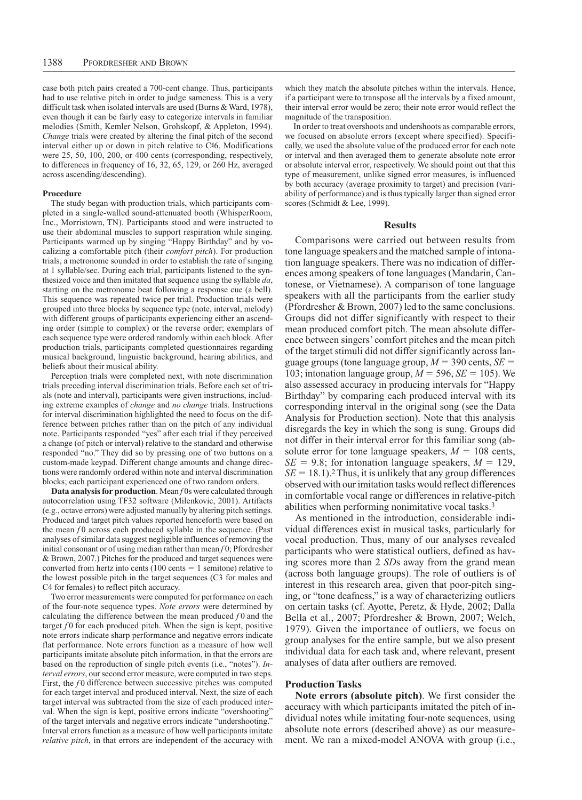case both pitch pairs created a 700-cent change. Thus, participants had to use relative pitch in order to judge sameness. This is a very difficult task when isolated intervals are used (Burns & Ward, 1978), even though it can be fairly easy to categorize intervals in familiar melodies (Smith, Kemler Nelson, Grohskopf, & Appleton, 1994). *Change* trials were created by altering the final pitch of the second interval either up or down in pitch relative to C# 6. Modifications were 25, 50, 100, 200, or 400 cents (corresponding, respectively, to differences in frequency of 16, 32, 65, 129, or 260 Hz, averaged across ascending/descending).

#### **Procedure**

The study began with production trials, which participants completed in a single-walled sound-attenuated booth (WhisperRoom, Inc., Morristown, TN). Participants stood and were instructed to use their abdominal muscles to support respiration while singing. Participants warmed up by singing "Happy Birthday" and by vocalizing a comfortable pitch (their *comfort pitch*). For production trials, a metronome sounded in order to establish the rate of singing at 1 syllable/sec. During each trial, participants listened to the synthesized voice and then imitated that sequence using the syllable *da*, starting on the metronome beat following a response cue (a bell). This sequence was repeated twice per trial. Production trials were grouped into three blocks by sequence type (note, interval, melody) with different groups of participants experiencing either an ascending order (simple to complex) or the reverse order; exemplars of each sequence type were ordered randomly within each block. After production trials, participants completed questionnaires regarding musical background, linguistic background, hearing abilities, and beliefs about their musical ability.

Perception trials were completed next, with note discrimination trials preceding interval discrimination trials. Before each set of trials (note and interval), participants were given instructions, including extreme examples of *change* and *no change* trials. Instructions for interval discrimination highlighted the need to focus on the difference between pitches rather than on the pitch of any individual note. Participants responded "yes" after each trial if they perceived a change (of pitch or interval) relative to the standard and otherwise responded "no." They did so by pressing one of two buttons on a custom-made keypad. Different change amounts and change directions were randomly ordered within note and interval discrimination blocks; each participant experienced one of two random orders.

**Data analysis for production**. Mean *f* 0s were calculated through autocorrelation using TF32 software (Milenkovic, 2001). Artifacts (e.g., octave errors) were adjusted manually by altering pitch settings. Produced and target pitch values reported henceforth were based on the mean *f* 0 across each produced syllable in the sequence. (Past analyses of similar data suggest negligible influences of removing the initial consonant or of using median rather than mean *f* 0; Pfordresher & Brown, 2007.) Pitches for the produced and target sequences were converted from hertz into cents (100 cents  $= 1$  semitone) relative to the lowest possible pitch in the target sequences (C3 for males and C4 for females) to reflect pitch accuracy.

Two error measurements were computed for performance on each of the four-note sequence types. *Note errors* were determined by calculating the difference between the mean produced *f* 0 and the target *f* 0 for each produced pitch. When the sign is kept, positive note errors indicate sharp performance and negative errors indicate flat performance. Note errors function as a measure of how well participants imitate absolute pitch information, in that the errors are based on the reproduction of single pitch events (i.e., "notes"). *Interval errors*, our second error measure, were computed in two steps. First, the *f* 0 difference between successive pitches was computed for each target interval and produced interval. Next, the size of each target interval was subtracted from the size of each produced interval. When the sign is kept, positive errors indicate "overshooting" of the target intervals and negative errors indicate "undershooting." Interval errors function as a measure of how well participants imitate *relative pitch*, in that errors are independent of the accuracy with which they match the absolute pitches within the intervals. Hence, if a participant were to transpose all the intervals by a fixed amount, their interval error would be zero; their note error would reflect the magnitude of the transposition.

In order to treat overshoots and undershoots as comparable errors, we focused on absolute errors (except where specified). Specifically, we used the absolute value of the produced error for each note or interval and then averaged them to generate absolute note error or absolute interval error, respectively. We should point out that this type of measurement, unlike signed error measures, is influenced by both accuracy (average proximity to target) and precision (variability of performance) and is thus typically larger than signed error scores (Schmidt & Lee, 1999).

## **Results**

Comparisons were carried out between results from tone language speakers and the matched sample of intonation language speakers. There was no indication of differences among speakers of tone languages (Mandarin, Cantonese, or Vietnamese). A comparison of tone language speakers with all the participants from the earlier study (Pfordresher & Brown, 2007) led to the same conclusions. Groups did not differ significantly with respect to their mean produced comfort pitch. The mean absolute difference between singers' comfort pitches and the mean pitch of the target stimuli did not differ significantly across language groups (tone language group,  $M = 390$  cents,  $SE =$ 103; intonation language group,  $M = 596$ ,  $SE = 105$ ). We also assessed accuracy in producing intervals for "Happy Birthday" by comparing each produced interval with its corresponding interval in the original song (see the Data Analysis for Production section). Note that this analysis disregards the key in which the song is sung. Groups did not differ in their interval error for this familiar song (absolute error for tone language speakers,  $M = 108$  cents,  $SE = 9.8$ ; for intonation language speakers,  $M = 129$ ,  $SE = 18.1$ ).<sup>2</sup> Thus, it is unlikely that any group differences observed with our imitation tasks would reflect differences in comfortable vocal range or differences in relative-pitch abilities when performing nonimitative vocal tasks.3

As mentioned in the introduction, considerable individual differences exist in musical tasks, particularly for vocal production. Thus, many of our analyses revealed participants who were statistical outliers, defined as having scores more than 2 *SD*s away from the grand mean (across both language groups). The role of outliers is of interest in this research area, given that poor-pitch singing, or "tone deafness," is a way of characterizing outliers on certain tasks (cf. Ayotte, Peretz, & Hyde, 2002; Dalla Bella et al., 2007; Pfordresher & Brown, 2007; Welch, 1979). Given the importance of outliers, we focus on group analyses for the entire sample, but we also present individual data for each task and, where relevant, present analyses of data after outliers are removed.

#### **Production Tasks**

**Note errors (absolute pitch)**. We first consider the accuracy with which participants imitated the pitch of individual notes while imitating four-note sequences, using absolute note errors (described above) as our measurement. We ran a mixed-model ANOVA with group (i.e.,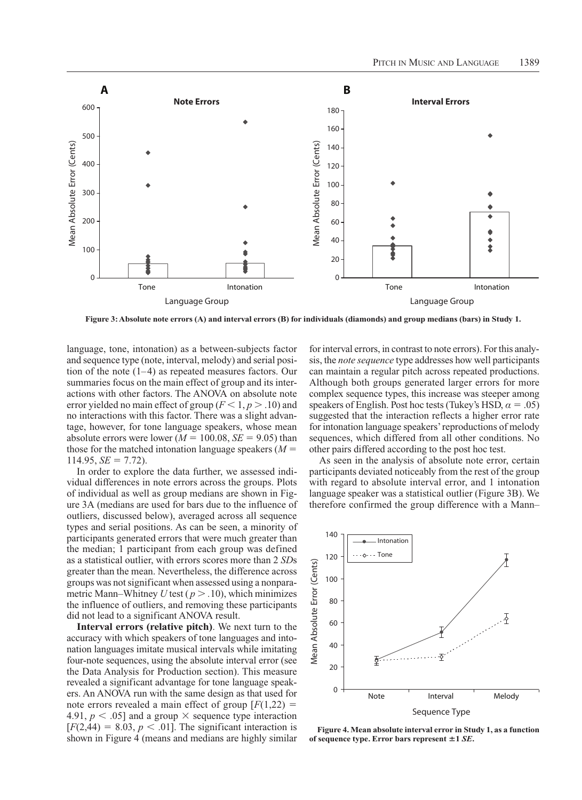

**Figure 3: Absolute note errors (A) and interval errors (B) for individuals (diamonds) and group medians (bars) in Study 1.**

language, tone, intonation) as a between-subjects factor and sequence type (note, interval, melody) and serial position of the note (1–4) as repeated measures factors. Our summaries focus on the main effect of group and its interactions with other factors. The ANOVA on absolute note error yielded no main effect of group ( $F < 1, p > .10$ ) and no interactions with this factor. There was a slight advantage, however, for tone language speakers, whose mean absolute errors were lower ( $M = 100.08$ ,  $SE = 9.05$ ) than those for the matched intonation language speakers  $(M =$  $114.95, SE = 7.72$ ).

In order to explore the data further, we assessed individual differences in note errors across the groups. Plots of individual as well as group medians are shown in Figure 3A (medians are used for bars due to the influence of outliers, discussed below), averaged across all sequence types and serial positions. As can be seen, a minority of participants generated errors that were much greater than the median; 1 participant from each group was defined as a statistical outlier, with errors scores more than 2 *SD*s greater than the mean. Nevertheless, the difference across groups was not significant when assessed using a nonparametric Mann–Whitney *U* test ( $p > .10$ ), which minimizes the influence of outliers, and removing these participants did not lead to a significant ANOVA result.

**Interval errors (relative pitch)**. We next turn to the accuracy with which speakers of tone languages and intonation languages imitate musical intervals while imitating four-note sequences, using the absolute interval error (see the Data Analysis for Production section). This measure revealed a significant advantage for tone language speakers. An ANOVA run with the same design as that used for note errors revealed a main effect of group  $[F(1,22) =$ 4.91,  $p < .05$ ] and a group  $\times$  sequence type interaction  $[F(2,44) = 8.03, p < .01]$ . The significant interaction is shown in Figure 4 (means and medians are highly similar

for interval errors, in contrast to note errors). For this analysis, the *note sequence* type addresses how well participants can maintain a regular pitch across repeated productions. Although both groups generated larger errors for more complex sequence types, this increase was steeper among speakers of English. Post hoc tests (Tukey's HSD,  $\alpha = .05$ ) suggested that the interaction reflects a higher error rate for intonation language speakers' reproductions of melody sequences, which differed from all other conditions. No other pairs differed according to the post hoc test.

As seen in the analysis of absolute note error, certain participants deviated noticeably from the rest of the group with regard to absolute interval error, and 1 intonation language speaker was a statistical outlier (Figure 3B). We therefore confirmed the group difference with a Mann–



**Figure 4. Mean absolute interval error in Study 1, as a function**  of sequence type. Error bars represent  $\pm 1$  *SE*.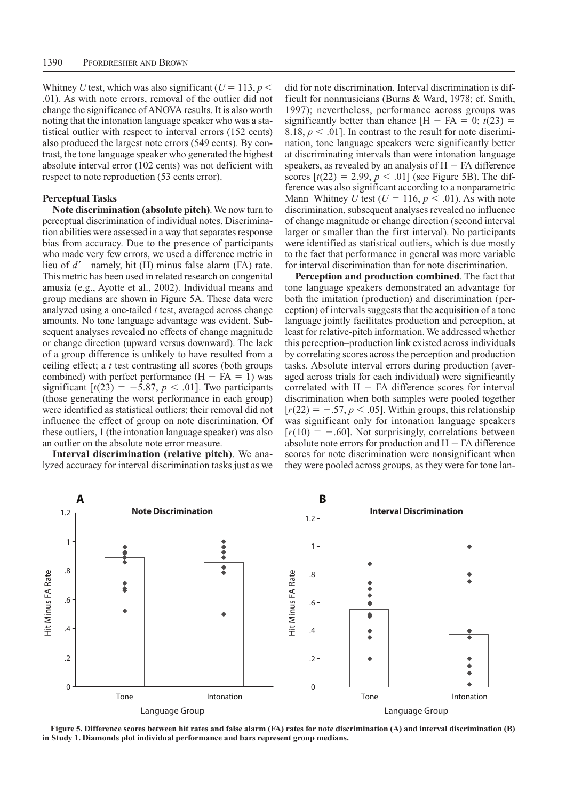Whitney *U* test, which was also significant ( $U = 113$ ,  $p <$ .01). As with note errors, removal of the outlier did not change the significance of ANOVA results. It is also worth noting that the intonation language speaker who was a statistical outlier with respect to interval errors (152 cents) also produced the largest note errors (549 cents). By contrast, the tone language speaker who generated the highest absolute interval error (102 cents) was not deficient with respect to note reproduction (53 cents error).

#### **Perceptual Tasks**

**Note discrimination (absolute pitch)**. We now turn to perceptual discrimination of individual notes. Discrimination abilities were assessed in a way that separates response bias from accuracy. Due to the presence of participants who made very few errors, we used a difference metric in lieu of *d′*—namely, hit (H) minus false alarm (FA) rate. This metric has been used in related research on congenital amusia (e.g., Ayotte et al., 2002). Individual means and group medians are shown in Figure 5A. These data were analyzed using a one-tailed *t* test, averaged across change amounts. No tone language advantage was evident. Subsequent analyses revealed no effects of change magnitude or change direction (upward versus downward). The lack of a group difference is unlikely to have resulted from a ceiling effect; a *t* test contrasting all scores (both groups combined) with perfect performance  $(H - FA = 1)$  was significant  $[t(23) = -5.87, p < .01]$ . Two participants (those generating the worst performance in each group) were identified as statistical outliers; their removal did not influence the effect of group on note discrimination. Of these outliers, 1 (the intonation language speaker) was also an outlier on the absolute note error measure.

**Interval discrimination (relative pitch)**. We analyzed accuracy for interval discrimination tasks just as we did for note discrimination. Interval discrimination is difficult for nonmusicians (Burns & Ward, 1978; cf. Smith, 1997); nevertheless, performance across groups was significantly better than chance  $[H - FA = 0; t(23) =$ 8.18,  $p < .01$ ]. In contrast to the result for note discrimination, tone language speakers were significantly better at discriminating intervals than were intonation language speakers, as revealed by an analysis of  $H - FA$  difference scores  $[t(22) = 2.99, p < .01]$  (see Figure 5B). The difference was also significant according to a nonparametric Mann–Whitney *U* test ( $U = 116$ ,  $p < .01$ ). As with note discrimination, subsequent analyses revealed no influence of change magnitude or change direction (second interval larger or smaller than the first interval). No participants were identified as statistical outliers, which is due mostly to the fact that performance in general was more variable for interval discrimination than for note discrimination.

**Perception and production combined**. The fact that tone language speakers demonstrated an advantage for both the imitation (production) and discrimination (perception) of intervals suggests that the acquisition of a tone language jointly facilitates production and perception, at least for relative-pitch information. We addressed whether this perception–production link existed across individuals by correlating scores across the perception and production tasks. Absolute interval errors during production (averaged across trials for each individual) were significantly correlated with  $H - FA$  difference scores for interval discrimination when both samples were pooled together  $[r(22) = -.57, p < .05]$ . Within groups, this relationship was significant only for intonation language speakers  $[r(10) = -.60]$ . Not surprisingly, correlations between absolute note errors for production and  $H - FA$  difference scores for note discrimination were nonsignificant when they were pooled across groups, as they were for tone lan-



**Figure 5. Difference scores between hit rates and false alarm (FA) rates for note discrimination (A) and interval discrimination (B) in Study 1. Diamonds plot individual performance and bars represent group medians.**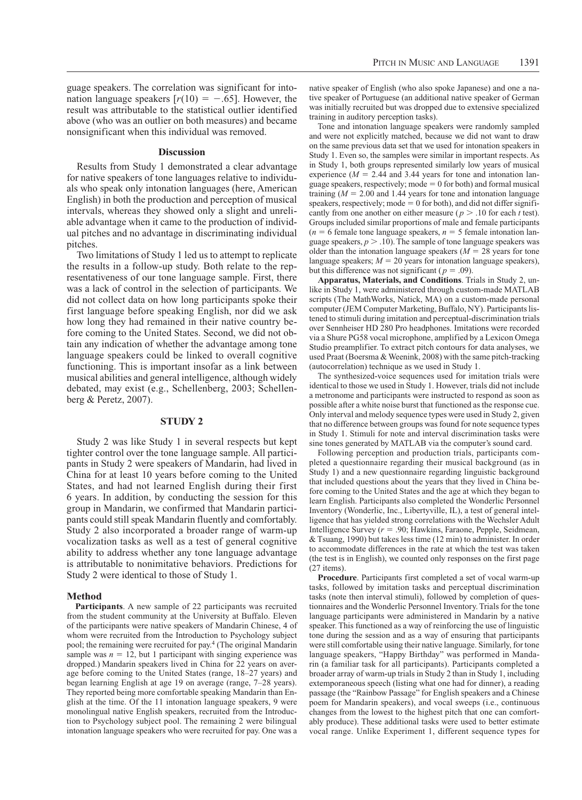guage speakers. The correlation was significant for intonation language speakers  $[r(10) = -.65]$ . However, the result was attributable to the statistical outlier identified above (who was an outlier on both measures) and became nonsignificant when this individual was removed.

## **Discussion**

Results from Study 1 demonstrated a clear advantage for native speakers of tone languages relative to individuals who speak only intonation languages (here, American English) in both the production and perception of musical intervals, whereas they showed only a slight and unreliable advantage when it came to the production of individual pitches and no advantage in discriminating individual pitches.

Two limitations of Study 1 led us to attempt to replicate the results in a follow-up study. Both relate to the representativeness of our tone language sample. First, there was a lack of control in the selection of participants. We did not collect data on how long participants spoke their first language before speaking English, nor did we ask how long they had remained in their native country before coming to the United States. Second, we did not obtain any indication of whether the advantage among tone language speakers could be linked to overall cognitive functioning. This is important insofar as a link between musical abilities and general intelligence, although widely debated, may exist (e.g., Schellenberg, 2003; Schellenberg & Peretz, 2007).

## **STUDY 2**

Study 2 was like Study 1 in several respects but kept tighter control over the tone language sample. All participants in Study 2 were speakers of Mandarin, had lived in China for at least 10 years before coming to the United States, and had not learned English during their first 6 years. In addition, by conducting the session for this group in Mandarin, we confirmed that Mandarin participants could still speak Mandarin fluently and comfortably. Study 2 also incorporated a broader range of warm-up vocalization tasks as well as a test of general cognitive ability to address whether any tone language advantage is attributable to nonimitative behaviors. Predictions for Study 2 were identical to those of Study 1.

#### **Method**

**Participants**. A new sample of 22 participants was recruited from the student community at the University at Buffalo. Eleven of the participants were native speakers of Mandarin Chinese, 4 of whom were recruited from the Introduction to Psychology subject pool; the remaining were recruited for pay.4 (The original Mandarin sample was  $n = 12$ , but 1 participant with singing experience was dropped.) Mandarin speakers lived in China for 22 years on average before coming to the United States (range, 18–27 years) and began learning English at age 19 on average (range, 7–28 years). They reported being more comfortable speaking Mandarin than English at the time. Of the 11 intonation language speakers, 9 were monolingual native English speakers, recruited from the Introduction to Psychology subject pool. The remaining 2 were bilingual intonation language speakers who were recruited for pay. One was a

native speaker of English (who also spoke Japanese) and one a native speaker of Portuguese (an additional native speaker of German was initially recruited but was dropped due to extensive specialized training in auditory perception tasks).

Tone and intonation language speakers were randomly sampled and were not explicitly matched, because we did not want to draw on the same previous data set that we used for intonation speakers in Study 1. Even so, the samples were similar in important respects. As in Study 1, both groups represented similarly low years of musical experience  $(M = 2.44$  and 3.44 years for tone and intonation language speakers, respectively; mode  $= 0$  for both) and formal musical training  $(M = 2.00$  and 1.44 years for tone and intonation language speakers, respectively; mode  $= 0$  for both), and did not differ significantly from one another on either measure ( $p > .10$  for each *t* test). Groups included similar proportions of male and female participants  $(n = 6$  female tone language speakers,  $n = 5$  female intonation language speakers,  $p > .10$ ). The sample of tone language speakers was older than the intonation language speakers ( $M = 28$  years for tone language speakers;  $M = 20$  years for intonation language speakers), but this difference was not significant ( $p = .09$ ).

**Apparatus, Materials, and Conditions**. Trials in Study 2, unlike in Study 1, were administered through custom-made MATLAB scripts (The MathWorks, Natick, MA) on a custom-made personal computer (JEM Computer Marketing, Buffalo, NY). Participants listened to stimuli during imitation and perceptual-discrimination trials over Sennheiser HD 280 Pro headphones. Imitations were recorded via a Shure PG58 vocal microphone, amplified by a Lexicon Omega Studio preamplifier. To extract pitch contours for data analyses, we used Praat (Boersma & Weenink, 2008) with the same pitch-tracking (autocorrelation) technique as we used in Study 1.

The synthesized-voice sequences used for imitation trials were identical to those we used in Study 1. However, trials did not include a metronome and participants were instructed to respond as soon as possible after a white noise burst that functioned as the response cue. Only interval and melody sequence types were used in Study 2, given that no difference between groups was found for note sequence types in Study 1. Stimuli for note and interval discrimination tasks were sine tones generated by MATLAB via the computer's sound card.

Following perception and production trials, participants completed a questionnaire regarding their musical background (as in Study 1) and a new questionnaire regarding linguistic background that included questions about the years that they lived in China before coming to the United States and the age at which they began to learn English. Participants also completed the Wonderlic Personnel Inventory (Wonderlic, Inc., Libertyville, IL), a test of general intelligence that has yielded strong correlations with the Wechsler Adult Intelligence Survey  $(r = .90;$  Hawkins, Faraone, Pepple, Seidmean, & Tsuang, 1990) but takes less time (12 min) to administer. In order to accommodate differences in the rate at which the test was taken (the test is in English), we counted only responses on the first page (27 items).

**Procedure**. Participants first completed a set of vocal warm-up tasks, followed by imitation tasks and perceptual discrimination tasks (note then interval stimuli), followed by completion of questionnaires and the Wonderlic Personnel Inventory. Trials for the tone language participants were administered in Mandarin by a native speaker. This functioned as a way of reinforcing the use of linguistic tone during the session and as a way of ensuring that participants were still comfortable using their native language. Similarly, for tone language speakers, "Happy Birthday" was performed in Mandarin (a familiar task for all participants). Participants completed a broader array of warm-up trials in Study 2 than in Study 1, including extemporaneous speech (listing what one had for dinner), a reading passage (the "Rainbow Passage" for English speakers and a Chinese poem for Mandarin speakers), and vocal sweeps (i.e., continuous changes from the lowest to the highest pitch that one can comfortably produce). These additional tasks were used to better estimate vocal range. Unlike Experiment 1, different sequence types for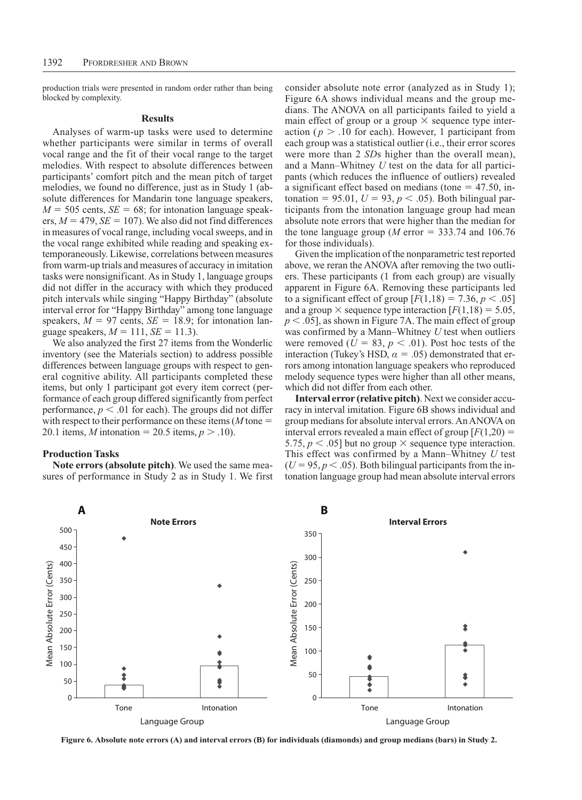production trials were presented in random order rather than being blocked by complexity.

#### **Results**

Analyses of warm-up tasks were used to determine whether participants were similar in terms of overall vocal range and the fit of their vocal range to the target melodies. With respect to absolute differences between participants' comfort pitch and the mean pitch of target melodies, we found no difference, just as in Study 1 (absolute differences for Mandarin tone language speakers,  $M = 505$  cents,  $SE = 68$ ; for intonation language speakers,  $M = 479$ ,  $SE = 107$ ). We also did not find differences in measures of vocal range, including vocal sweeps, and in the vocal range exhibited while reading and speaking extemporaneously. Likewise, correlations between measures from warm-up trials and measures of accuracy in imitation tasks were nonsignificant. As in Study 1, language groups did not differ in the accuracy with which they produced pitch intervals while singing "Happy Birthday" (absolute interval error for "Happy Birthday" among tone language speakers,  $M = 97$  cents,  $SE = 18.9$ ; for intonation language speakers,  $M = 111$ ,  $SE = 11.3$ ).

We also analyzed the first 27 items from the Wonderlic inventory (see the Materials section) to address possible differences between language groups with respect to general cognitive ability. All participants completed these items, but only 1 participant got every item correct (performance of each group differed significantly from perfect performance,  $p < .01$  for each). The groups did not differ with respect to their performance on these items  $(M \text{ tone} =$ 20.1 items, *M* intonation = 20.5 items,  $p > .10$ ).

## **Production Tasks**

**Note errors (absolute pitch)**. We used the same measures of performance in Study 2 as in Study 1. We first consider absolute note error (analyzed as in Study 1); Figure 6A shows individual means and the group medians. The ANOVA on all participants failed to yield a main effect of group or a group  $\times$  sequence type interaction ( $p > .10$  for each). However, 1 participant from each group was a statistical outlier (i.e., their error scores were more than 2 *SD*s higher than the overall mean), and a Mann–Whitney *U* test on the data for all participants (which reduces the influence of outliers) revealed a significant effect based on medians (tone  $= 47.50$ , intonation = 95.01,  $U = 93$ ,  $p < .05$ ). Both bilingual participants from the intonation language group had mean absolute note errors that were higher than the median for the tone language group ( $M$  error = 333.74 and 106.76 for those individuals).

Given the implication of the nonparametric test reported above, we reran the ANOVA after removing the two outliers. These participants (1 from each group) are visually apparent in Figure 6A. Removing these participants led to a significant effect of group  $[F(1,18) = 7.36, p < .05]$ and a group  $\times$  sequence type interaction  $[F(1,18) = 5.05]$ ,  $p < .05$ ], as shown in Figure 7A. The main effect of group was confirmed by a Mann–Whitney *U* test when outliers were removed ( $U = 83$ ,  $p < .01$ ). Post hoc tests of the interaction (Tukey's HSD,  $\alpha = .05$ ) demonstrated that errors among intonation language speakers who reproduced melody sequence types were higher than all other means, which did not differ from each other.

**Interval error (relative pitch)**. Next we consider accuracy in interval imitation. Figure 6B shows individual and group medians for absolute interval errors. An ANOVA on interval errors revealed a main effect of group  $[F(1,20) =$ 5.75,  $p < .05$ ] but no group  $\times$  sequence type interaction. This effect was confirmed by a Mann–Whitney *U* test  $(U = 95, p < .05)$ . Both bilingual participants from the intonation language group had mean absolute interval errors



**Figure 6. Absolute note errors (A) and interval errors (B) for individuals (diamonds) and group medians (bars) in Study 2.**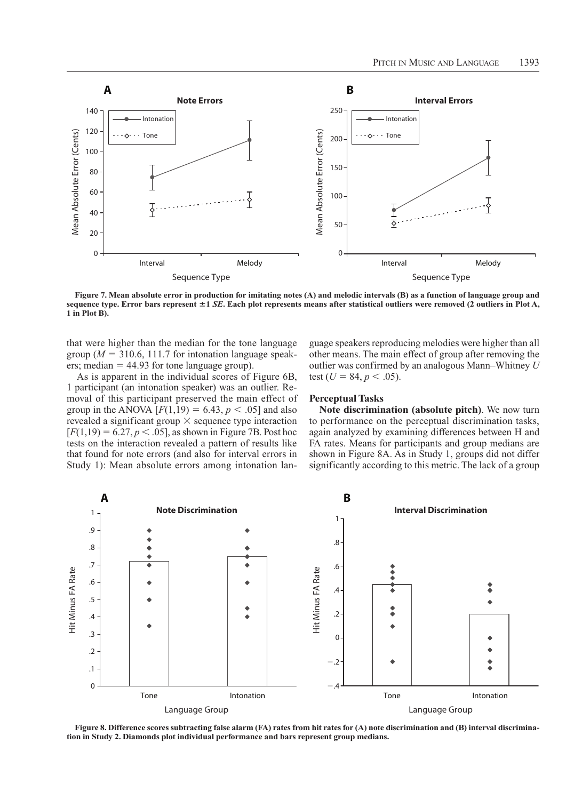

**Figure 7. Mean absolute error in production for imitating notes (A) and melodic intervals (B) as a function of language group and**  sequence type. Error bars represent  $\pm 1$  SE. Each plot represents means after statistical outliers were removed (2 outliers in Plot A, **1 in Plot B).**

that were higher than the median for the tone language group ( $M = 310.6$ , 111.7 for intonation language speakers; median  $= 44.93$  for tone language group).

As is apparent in the individual scores of Figure 6B, 1 participant (an intonation speaker) was an outlier. Removal of this participant preserved the main effect of group in the ANOVA  $[F(1,19) = 6.43, p < .05]$  and also revealed a significant group  $\times$  sequence type interaction  $[F(1,19) = 6.27, p < .05]$ , as shown in Figure 7B. Post hoc tests on the interaction revealed a pattern of results like that found for note errors (and also for interval errors in Study 1): Mean absolute errors among intonation language speakers reproducing melodies were higher than all other means. The main effect of group after removing the outlier was confirmed by an analogous Mann–Whitney *U* test ( $U = 84$ ,  $p < .05$ ).

## **Perceptual Tasks**

**Note discrimination (absolute pitch)**. We now turn to performance on the perceptual discrimination tasks, again analyzed by examining differences between H and FA rates. Means for participants and group medians are shown in Figure 8A. As in Study 1, groups did not differ significantly according to this metric. The lack of a group



**Figure 8. Difference scores subtracting false alarm (FA) rates from hit rates for (A) note discrimination and (B) interval discrimination in Study 2. Diamonds plot individual performance and bars represent group medians.**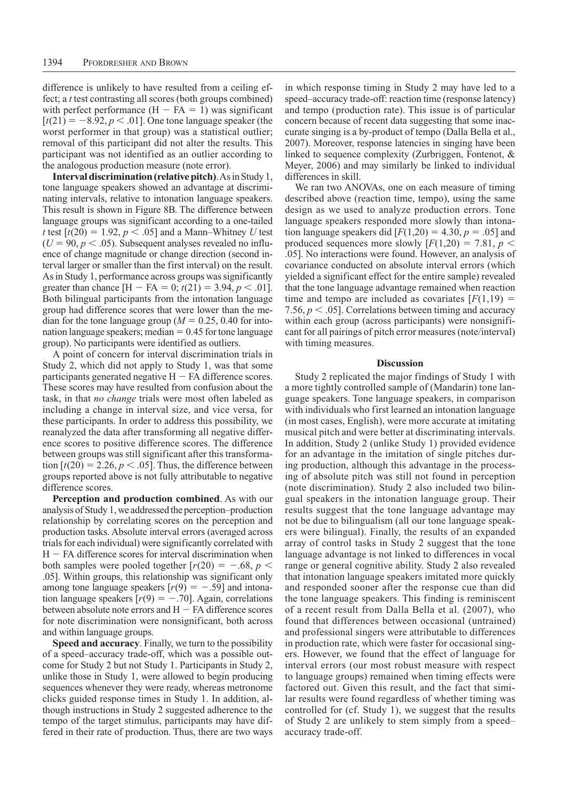difference is unlikely to have resulted from a ceiling effect; a *t* test contrasting all scores (both groups combined) with perfect performance  $(H - FA = 1)$  was significant  $[t(21) = -8.92, p < .01]$ . One tone language speaker (the worst performer in that group) was a statistical outlier; removal of this participant did not alter the results. This participant was not identified as an outlier according to the analogous production measure (note error).

**Interval discrimination (relative pitch)**. As in Study 1, tone language speakers showed an advantage at discriminating intervals, relative to intonation language speakers. This result is shown in Figure 8B. The difference between language groups was significant according to a one-tailed *t* test  $[t(20) = 1.92, p < .05]$  and a Mann–Whitney *U* test  $(U = 90, p < .05)$ . Subsequent analyses revealed no influence of change magnitude or change direction (second interval larger or smaller than the first interval) on the result. As in Study 1, performance across groups was significantly greater than chance  $[H - FA = 0; t(21) = 3.94, p < .01]$ . Both bilingual participants from the intonation language group had difference scores that were lower than the median for the tone language group ( $M = 0.25$ , 0.40 for intonation language speakers; median  $= 0.45$  for tone language group). No participants were identified as outliers.

A point of concern for interval discrimination trials in Study 2, which did not apply to Study 1, was that some participants generated negative  $H - FA$  difference scores. These scores may have resulted from confusion about the task, in that *no change* trials were most often labeled as including a change in interval size, and vice versa, for these participants. In order to address this possibility, we reanalyzed the data after transforming all negative difference scores to positive difference scores. The difference between groups was still significant after this transformation  $[t(20) = 2.26, p < .05]$ . Thus, the difference between groups reported above is not fully attributable to negative difference scores.

**Perception and production combined**. As with our analysis of Study 1, we addressed the perception–production relationship by correlating scores on the perception and production tasks. Absolute interval errors (averaged across trials for each individual) were significantly correlated with  $H - FA$  difference scores for interval discrimination when both samples were pooled together  $[r(20) = -.68, p <$ .05]. Within groups, this relationship was significant only among tone language speakers  $[r(9) = -.59]$  and intonation language speakers  $[r(9) = -.70]$ . Again, correlations between absolute note errors and  $H - FA$  difference scores for note discrimination were nonsignificant, both across and within language groups.

**Speed and accuracy**. Finally, we turn to the possibility of a speed–accuracy trade-off, which was a possible outcome for Study 2 but not Study 1. Participants in Study 2, unlike those in Study 1, were allowed to begin producing sequences whenever they were ready, whereas metronome clicks guided response times in Study 1. In addition, although instructions in Study 2 suggested adherence to the tempo of the target stimulus, participants may have differed in their rate of production. Thus, there are two ways

in which response timing in Study 2 may have led to a speed–accuracy trade-off: reaction time (response latency) and tempo (production rate). This issue is of particular concern because of recent data suggesting that some inaccurate singing is a by-product of tempo (Dalla Bella et al., 2007). Moreover, response latencies in singing have been linked to sequence complexity (Zurbriggen, Fontenot, & Meyer, 2006) and may similarly be linked to individual differences in skill.

We ran two ANOVAs, one on each measure of timing described above (reaction time, tempo), using the same design as we used to analyze production errors. Tone language speakers responded more slowly than intonation language speakers did  $[F(1,20) = 4.30, p = .05]$  and produced sequences more slowly  $[F(1,20) = 7.81, p <$ .05]. No interactions were found. However, an analysis of covariance conducted on absolute interval errors (which yielded a significant effect for the entire sample) revealed that the tone language advantage remained when reaction time and tempo are included as covariates  $[F(1,19) =$ 7.56,  $p < .05$ ]. Correlations between timing and accuracy within each group (across participants) were nonsignificant for all pairings of pitch error measures (note/interval) with timing measures.

#### **Discussion**

Study 2 replicated the major findings of Study 1 with a more tightly controlled sample of (Mandarin) tone language speakers. Tone language speakers, in comparison with individuals who first learned an intonation language (in most cases, English), were more accurate at imitating musical pitch and were better at discriminating intervals. In addition, Study 2 (unlike Study 1) provided evidence for an advantage in the imitation of single pitches during production, although this advantage in the processing of absolute pitch was still not found in perception (note discrimination). Study 2 also included two bilingual speakers in the intonation language group. Their results suggest that the tone language advantage may not be due to bilingualism (all our tone language speakers were bilingual). Finally, the results of an expanded array of control tasks in Study 2 suggest that the tone language advantage is not linked to differences in vocal range or general cognitive ability. Study 2 also revealed that intonation language speakers imitated more quickly and responded sooner after the response cue than did the tone language speakers. This finding is reminiscent of a recent result from Dalla Bella et al. (2007), who found that differences between occasional (untrained) and professional singers were attributable to differences in production rate, which were faster for occasional singers. However, we found that the effect of language for interval errors (our most robust measure with respect to language groups) remained when timing effects were factored out. Given this result, and the fact that similar results were found regardless of whether timing was controlled for (cf. Study 1), we suggest that the results of Study 2 are unlikely to stem simply from a speed– accuracy trade-off.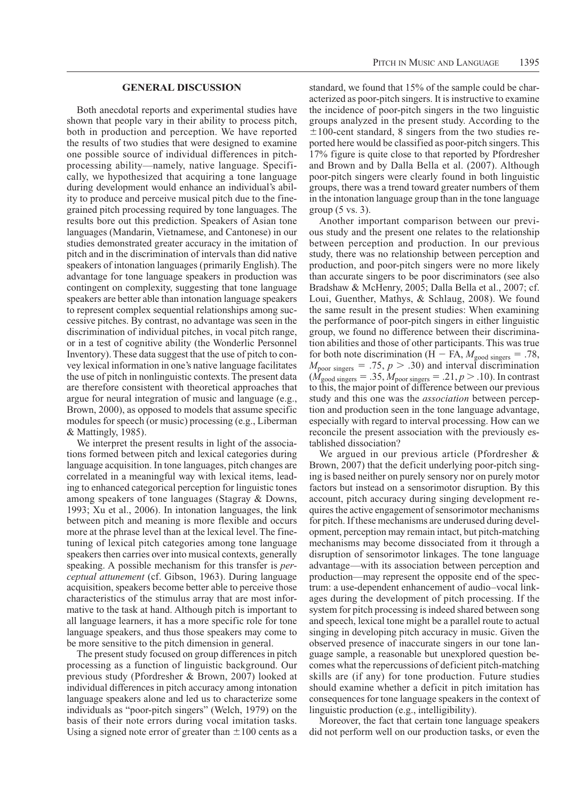## **GENERAL DISCUSSION**

Both anecdotal reports and experimental studies have shown that people vary in their ability to process pitch, both in production and perception. We have reported the results of two studies that were designed to examine one possible source of individual differences in pitchprocessing ability—namely, native language. Specifically, we hypothesized that acquiring a tone language during development would enhance an individual's ability to produce and perceive musical pitch due to the finegrained pitch processing required by tone languages. The results bore out this prediction. Speakers of Asian tone languages (Mandarin, Vietnamese, and Cantonese) in our studies demonstrated greater accuracy in the imitation of pitch and in the discrimination of intervals than did native speakers of intonation languages (primarily English). The advantage for tone language speakers in production was contingent on complexity, suggesting that tone language speakers are better able than intonation language speakers to represent complex sequential relationships among successive pitches. By contrast, no advantage was seen in the discrimination of individual pitches, in vocal pitch range, or in a test of cognitive ability (the Wonderlic Personnel Inventory). These data suggest that the use of pitch to convey lexical information in one's native language facilitates the use of pitch in nonlinguistic contexts. The present data are therefore consistent with theoretical approaches that argue for neural integration of music and language (e.g., Brown, 2000), as opposed to models that assume specific modules for speech (or music) processing (e.g., Liberman & Mattingly, 1985).

We interpret the present results in light of the associations formed between pitch and lexical categories during language acquisition. In tone languages, pitch changes are correlated in a meaningful way with lexical items, leading to enhanced categorical perception for linguistic tones among speakers of tone languages (Stagray & Downs, 1993; Xu et al., 2006). In intonation languages, the link between pitch and meaning is more flexible and occurs more at the phrase level than at the lexical level. The finetuning of lexical pitch categories among tone language speakers then carries over into musical contexts, generally speaking. A possible mechanism for this transfer is *perceptual attunement* (cf. Gibson, 1963). During language acquisition, speakers become better able to perceive those characteristics of the stimulus array that are most informative to the task at hand. Although pitch is important to all language learners, it has a more specific role for tone language speakers, and thus those speakers may come to be more sensitive to the pitch dimension in general.

The present study focused on group differences in pitch processing as a function of linguistic background. Our previous study (Pfordresher & Brown, 2007) looked at individual differences in pitch accuracy among intonation language speakers alone and led us to characterize some individuals as "poor-pitch singers" (Welch, 1979) on the basis of their note errors during vocal imitation tasks. Using a signed note error of greater than  $\pm 100$  cents as a

standard, we found that 15% of the sample could be characterized as poor-pitch singers. It is instructive to examine the incidence of poor-pitch singers in the two linguistic groups analyzed in the present study. According to the  $\pm 100$ -cent standard, 8 singers from the two studies reported here would be classified as poor-pitch singers. This 17% figure is quite close to that reported by Pfordresher and Brown and by Dalla Bella et al. (2007). Although poor-pitch singers were clearly found in both linguistic groups, there was a trend toward greater numbers of them in the intonation language group than in the tone language group (5 vs. 3).

Another important comparison between our previous study and the present one relates to the relationship between perception and production. In our previous study, there was no relationship between perception and production, and poor-pitch singers were no more likely than accurate singers to be poor discriminators (see also Bradshaw & McHenry, 2005; Dalla Bella et al., 2007; cf. Loui, Guenther, Mathys, & Schlaug, 2008). We found the same result in the present studies: When examining the performance of poor-pitch singers in either linguistic group, we found no difference between their discrimination abilities and those of other participants. This was true for both note discrimination (H – FA,  $M_{\text{good singers}} = .78$ ,  $M_{\text{poor singers}} = .75, p > .30$  and interval discrimination  $(M_{\text{good singers}} = .35, M_{\text{poor singers}} = .21, p > .10)$ . In contrast to this, the major point of difference between our previous study and this one was the *association* between perception and production seen in the tone language advantage, especially with regard to interval processing. How can we reconcile the present association with the previously established dissociation?

We argued in our previous article (Pfordresher & Brown, 2007) that the deficit underlying poor-pitch singing is based neither on purely sensory nor on purely motor factors but instead on a sensorimotor disruption. By this account, pitch accuracy during singing development requires the active engagement of sensorimotor mechanisms for pitch. If these mechanisms are underused during development, perception may remain intact, but pitch-matching mechanisms may become dissociated from it through a disruption of sensorimotor linkages. The tone language advantage—with its association between perception and production—may represent the opposite end of the spectrum: a use-dependent enhancement of audio–vocal linkages during the development of pitch processing. If the system for pitch processing is indeed shared between song and speech, lexical tone might be a parallel route to actual singing in developing pitch accuracy in music. Given the observed presence of inaccurate singers in our tone language sample, a reasonable but unexplored question becomes what the repercussions of deficient pitch-matching skills are (if any) for tone production. Future studies should examine whether a deficit in pitch imitation has consequences for tone language speakers in the context of linguistic production (e.g., intelligibility).

Moreover, the fact that certain tone language speakers did not perform well on our production tasks, or even the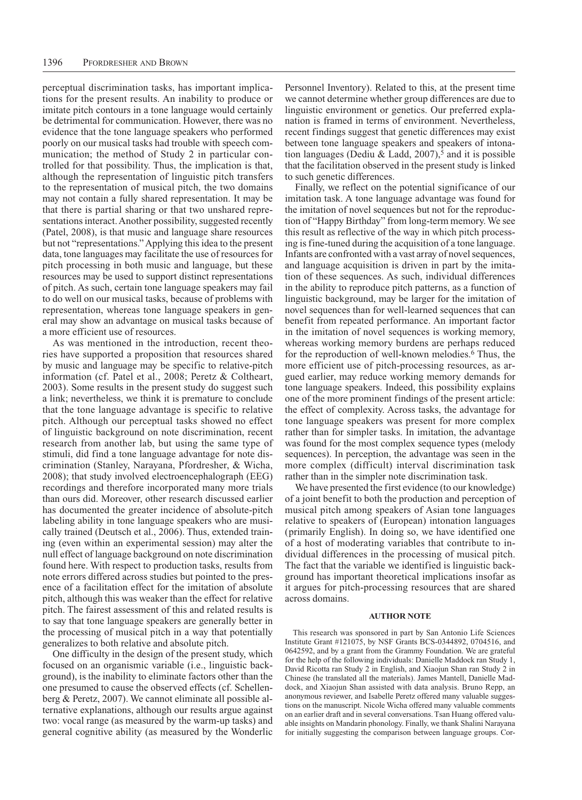perceptual discrimination tasks, has important implications for the present results. An inability to produce or imitate pitch contours in a tone language would certainly be detrimental for communication. However, there was no evidence that the tone language speakers who performed poorly on our musical tasks had trouble with speech communication; the method of Study 2 in particular controlled for that possibility. Thus, the implication is that, although the representation of linguistic pitch transfers to the representation of musical pitch, the two domains may not contain a fully shared representation. It may be that there is partial sharing or that two unshared representations interact. Another possibility, suggested recently (Patel, 2008), is that music and language share resources but not "representations." Applying this idea to the present data, tone languages may facilitate the use of resources for pitch processing in both music and language, but these resources may be used to support distinct representations of pitch. As such, certain tone language speakers may fail to do well on our musical tasks, because of problems with representation, whereas tone language speakers in general may show an advantage on musical tasks because of a more efficient use of resources.

As was mentioned in the introduction, recent theories have supported a proposition that resources shared by music and language may be specific to relative-pitch information (cf. Patel et al., 2008; Peretz & Coltheart, 2003). Some results in the present study do suggest such a link; nevertheless, we think it is premature to conclude that the tone language advantage is specific to relative pitch. Although our perceptual tasks showed no effect of linguistic background on note discrimination, recent research from another lab, but using the same type of stimuli, did find a tone language advantage for note discrimination (Stanley, Narayana, Pfordresher, & Wicha, 2008); that study involved electroencephalograph (EEG) recordings and therefore incorporated many more trials than ours did. Moreover, other research discussed earlier has documented the greater incidence of absolute-pitch labeling ability in tone language speakers who are musically trained (Deutsch et al., 2006). Thus, extended training (even within an experimental session) may alter the null effect of language background on note discrimination found here. With respect to production tasks, results from note errors differed across studies but pointed to the presence of a facilitation effect for the imitation of absolute pitch, although this was weaker than the effect for relative pitch. The fairest assessment of this and related results is to say that tone language speakers are generally better in the processing of musical pitch in a way that potentially generalizes to both relative and absolute pitch.

One difficulty in the design of the present study, which focused on an organismic variable (i.e., linguistic background), is the inability to eliminate factors other than the one presumed to cause the observed effects (cf. Schellenberg & Peretz, 2007). We cannot eliminate all possible alternative explanations, although our results argue against two: vocal range (as measured by the warm-up tasks) and general cognitive ability (as measured by the Wonderlic

Personnel Inventory). Related to this, at the present time we cannot determine whether group differences are due to linguistic environment or genetics. Our preferred explanation is framed in terms of environment. Nevertheless, recent findings suggest that genetic differences may exist between tone language speakers and speakers of intonation languages (Dediu & Ladd, 2007),<sup>5</sup> and it is possible that the facilitation observed in the present study is linked to such genetic differences.

Finally, we reflect on the potential significance of our imitation task. A tone language advantage was found for the imitation of novel sequences but not for the reproduction of "Happy Birthday" from long-term memory. We see this result as reflective of the way in which pitch processing is fine-tuned during the acquisition of a tone language. Infants are confronted with a vast array of novel sequences, and language acquisition is driven in part by the imitation of these sequences. As such, individual differences in the ability to reproduce pitch patterns, as a function of linguistic background, may be larger for the imitation of novel sequences than for well-learned sequences that can benefit from repeated performance. An important factor in the imitation of novel sequences is working memory, whereas working memory burdens are perhaps reduced for the reproduction of well-known melodies.6 Thus, the more efficient use of pitch-processing resources, as argued earlier, may reduce working memory demands for tone language speakers. Indeed, this possibility explains one of the more prominent findings of the present article: the effect of complexity. Across tasks, the advantage for tone language speakers was present for more complex rather than for simpler tasks. In imitation, the advantage was found for the most complex sequence types (melody sequences). In perception, the advantage was seen in the more complex (difficult) interval discrimination task rather than in the simpler note discrimination task.

We have presented the first evidence (to our knowledge) of a joint benefit to both the production and perception of musical pitch among speakers of Asian tone languages relative to speakers of (European) intonation languages (primarily English). In doing so, we have identified one of a host of moderating variables that contribute to individual differences in the processing of musical pitch. The fact that the variable we identified is linguistic background has important theoretical implications insofar as it argues for pitch-processing resources that are shared across domains.

## **AUTHOR NOTE**

This research was sponsored in part by San Antonio Life Sciences Institute Grant #121075, by NSF Grants BCS-0344892, 0704516, and 0642592, and by a grant from the Grammy Foundation. We are grateful for the help of the following individuals: Danielle Maddock ran Study 1, David Ricotta ran Study 2 in English, and Xiaojun Shan ran Study 2 in Chinese (he translated all the materials). James Mantell, Danielle Maddock, and Xiaojun Shan assisted with data analysis. Bruno Repp, an anonymous reviewer, and Isabelle Peretz offered many valuable suggestions on the manuscript. Nicole Wicha offered many valuable comments on an earlier draft and in several conversations. Tsan Huang offered valuable insights on Mandarin phonology. Finally, we thank Shalini Narayana for initially suggesting the comparison between language groups. Cor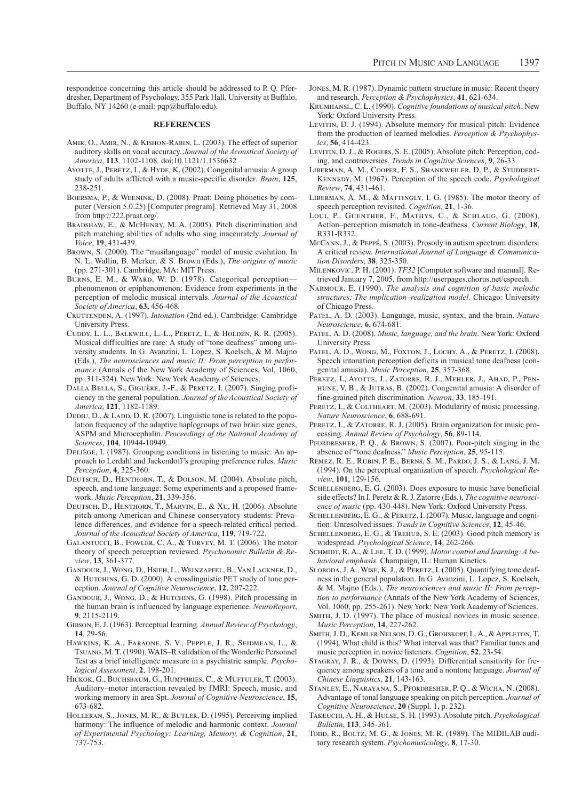respondence concerning this article should be addressed to P. Q. Pfordresher, Department of Psychology, 355 Park Hall, University at Buffalo, Buffalo, NY 14260 (e-mail: pqp@buffalo.edu).

#### **REFERENCES**

- Amir, O., Amir, N., & Kishon-Rabin, L. (2003). The effect of superior auditory skills on vocal accuracy. *Journal of the Acoustical Society of America*, **113**, 1102-1108. doi:10.1121/1.1536632
- AYOTTE, J., PERETZ, I., & HYDE, K. (2002). Congenital amusia: A group study of adults afflicted with a music-specific disorder*. Brain*, **125**, 238-251.
- Boersma, P., & Weenink, D. (2008). Praat: Doing phonetics by computer (Version 5.0.25) [Computer program]. Retrieved May 31, 2008 from http://222.praat.org/.
- Bradshaw, E., & McHenry, M. A. (2005). Pitch discrimination and pitch matching abilities of adults who sing inaccurately. *Journal of Voice*, **19**, 431-439.
- Brown, S. (2000). The "musilanguage" model of music evolution. In N. L. Wallin, B. Merker, & S. Brown (Eds.), *The origins of music* (pp. 271-301). Cambridge, MA: MIT Press.
- BURNS, E. M., & WARD, W. D. (1978). Categorical perceptionphenomenon or epiphenomenon: Evidence from experiments in the perception of melodic musical intervals. *Journal of the Acoustical Society of America*, **63**, 456-468.
- Cruttenden, A. (1997). *Intonation* (2nd ed.). Cambridge: Cambridge University Press.
- Cuddy, L. L., Balkwill, L.-L., Peretz, I., & Holden, R. R. (2005). Musical difficulties are rare: A study of "tone deafness" among university students. In G. Avanzini, L. Lopez, S. Koelsch, & M. Majno (Eds.), *The neurosciences and music II: From perception to performance* (Annals of the New York Academy of Sciences, Vol. 1060, pp. 311-324). New York: New York Academy of Sciences.
- Dalla Bella, S., Giguère, J.-F., & Peretz, I. (2007). Singing proficiency in the general population. *Journal of the Acoustical Society of America*, **121**, 1182-1189.
- DEDIU, D., & LADD, D. R. (2007). Linguistic tone is related to the population frequency of the adaptive haplogroups of two brain size genes, ASPM and Microcephalin. *Proceedings of the National Academy of Sciences*, **104**, 10944-10949.
- DELIÈGE, I. (1987). Grouping conditions in listening to music: An approach to Lerdahl and Jackendoff's grouping preference rules. *Music Perception*, **4**, 325-360.
- Deutsch, D., Henthorn, T., & Dolson, M. (2004). Absolute pitch, speech, and tone language: Some experiments and a proposed framework. *Music Perception*, **21**, 339-356.
- Deutsch, D., Henthorn, T., Marvin, E., & Xu, H. (2006). Absolute pitch among American and Chinese conservatory students: Prevalence differences, and evidence for a speech-related critical period. *Journal of the Acoustical Society of America*, **119**, 719-722.
- Galantucci, B., Fowler, C. A., & Turvey, M. T. (2006). The motor theory of speech perception reviewed. *Psychonomic Bulletin & Review*, **13**, 361-377.
- Gandour, J., Wong, D., Hsieh, L., Weinzapfel, B., Van Lackner, D., & HUTCHINS, G. D. (2000). A crosslinguistic PET study of tone perception. *Journal of Cognitive Neuroscience*, **12**, 207-222.
- Gandour, J., Wong, D., & Hutchins, G. (1998). Pitch processing in the human brain is influenced by language experience. *NeuroReport*, **9**, 2115-2119.
- Gibson, E. J. (1963). Perceptual learning. *Annual Review of Psychology*, **14**, 29-56.
- Hawkins, K. A., Faraone, S. V., Pepple, J. R., Seidmean, L., & Tsuang, M. T. (1990). WAIS–R validation of the Wonderlic Personnel Test as a brief intelligence measure in a psychiatric sample. *Psychological Assessment*, **2**, 198-201.
- HICKOK, G., BUCHSBAUM, G., HUMPHRIES, C., & MUFTULER, T. (2003). Auditory–motor interaction revealed by fMRI: Speech, music, and working memory in area Spt. *Journal of Cognitive Neuroscience*, **15**, 673-682.
- Holleran, S., Jones, M. R., & Butler, D. (1995). Perceiving implied harmony: The influence of melodic and harmonic context. *Journal of Experimental Psychology: Learning, Memory, & Cognition*, **21**, 737-753.
- Jones, M. R. (1987). Dynamic pattern structure in music: Recent theory and research. *Perception & Psychophysics*, **41**, 621-634.
- Krumhansl, C. L. (1990). *Cognitive foundations of musical pitch*. New York: Oxford University Press.
- LEVITIN, D. J. (1994). Absolute memory for musical pitch: Evidence from the production of learned melodies. *Perception & Psychophysics*, **56**, 414-423.
- LEVITIN, D. J., & ROGERS, S. E. (2005). Absolute pitch: Perception, coding, and controversies. *Trends in Cognitive Sciences*, **9**, 26-33.
- Liberman, A. M., Cooper, F. S., Shankweiler, D. P., & Studdert-Kennedy, M. (1967). Perception of the speech code. *Psychological Review*, **74**, 431-461.
- Liberman, A. M., & Mattingly, I. G. (1985). The motor theory of speech perception revisited. *Cognition*, **21**, 1-36.
- Loui, P., Guenther, F., Mathys, C., & Schlaug, G. (2008). Action–perception mismatch in tone-deafness. *Current Biology*, **18**, R331-R332.
- McCann, J., & Peppé, S. (2003). Prosody in autism spectrum disorders: A critical review. *International Journal of Language & Communication Disorders*, **38**, 325-350.
- Milenkovic, P. H. (2001). *TF32* [Computer software and manual]. Retrieved January 7, 2005, from http://userpages.chorus.net/cspeech.
- Narmour, E. (1990). *The analysis and cognition of basic melodic structures: The implication–realization model*. Chicago: University of Chicago Press.
- Patel, A. D. (2003). Language, music, syntax, and the brain. *Nature Neuroscience*, **6**, 674-681.
- Patel, A. D. (2008). *Music, language, and the brain*. New York: Oxford University Press.
- Patel, A. D., Wong, M., Foxton, J., Lochy, A., & Peretz, I. (2008). Speech intonation perception deficits in musical tone deafness (congenital amusia). *Music Perception*, **25**, 357-368.
- Peretz, I., Ayotte, J., Zatorre, R. J., Mehler, J., Ahad, P., Penhune, V. B., & Jutras, B. (2002). Congenital amusia: A disorder of fine-grained pitch discrimination. *Neuron*, **33**, 185-191.
- PERETZ, I., & COLTHEART, M. (2003). Modularity of music processing. *Nature Neuroscience*, **6**, 688-691.
- PERETZ, I., & ZATORRE, R. J. (2005). Brain organization for music processing. *Annual Review of Psychology*, **56**, 89-114.
- PFORDRESHER, P. Q., & BROWN, S. (2007). Poor-pitch singing in the absence of "tone deafness." *Music Perception*, **25**, 95-115.
- Remez, R. E., Rubin, P. E., Berns, S. M., Pardo, J. S., & Lang, J. M. (1994). On the perceptual organization of speech. *Psychological Review*, **101**, 129-156.
- SCHELLENBERG, E. G. (2003). Does exposure to music have beneficial side effects? In I. Peretz & R. J. Zatorre (Eds.), *The cognitive neuroscience of music* (pp. 430-448). New York: Oxford University Press.
- SCHELLENBERG, E. G., & PERETZ, I. (2007). Music, language and cognition: Unresolved issues. *Trends in Cognitive Sciences*, **12**, 45-46.
- SCHELLENBERG, E. G., & TREHUB, S. E. (2003). Good pitch memory is widespread. *Psychological Science*, **14**, 262-266.
- SCHMIDT, R. A., & LEE, T. D. (1999). *Motor control and learning: A behavioral emphasis.* Champaign, IL: Human Kinetics.
- SLOBODA, J. A., WISE, K. J., & PERETZ, I. (2005). Quantifying tone deafness in the general population. In G. Avanzini, L. Lopez, S. Koelsch, & M. Majno (Eds.), *The neurosciences and music II: From perception to performance* (Annals of the New York Academy of Sciences, Vol. 1060, pp. 255-261). New York: New York Academy of Sciences.
- SMITH, J. D. (1997). The place of musical novices in music science. *Music Perception*, **14**, 227-262.
- Smith, J. D., Kemler Nelson, D. G., Grohskopf, L. A., & Appleton, T. (1994). What child is this? What interval was that? Familiar tunes and music perception in novice listeners. *Cognition*, **52**, 23-54.
- Stagray, J. R., & Downs, D. (1993). Differential sensitivity for frequency among speakers of a tone and a nontone language. *Journal of Chinese Linguistics*, **21**, 143-163.
- Stanley, E., Narayana, S., Pfordresher, P. Q., & Wicha, N. (2008). Advantage of tonal language speaking on pitch perception. *Journal of Cognitive Neuroscience*, **20** (Suppl. 1, p. 232).
- Takeuchi, A. H., & Hulse, S. H. (1993). Absolute pitch. *Psychological Bulletin*, **113**, 345-361.
- Todd, R., Boltz, M. G., & Jones, M. R. (1989). The MIDILAB auditory research system. *Psychomusicology*, **8**, 17-30.